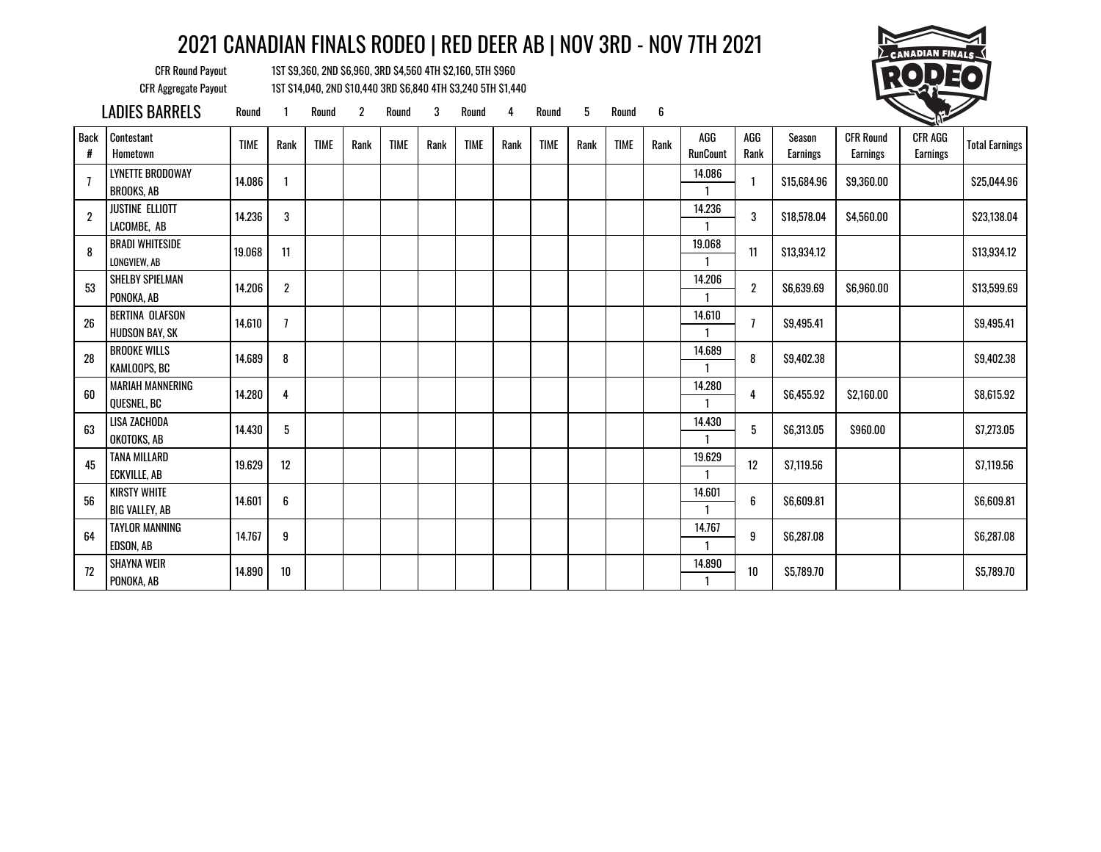CFR Round Payout 1ST \$9,360, 2ND \$6,960, 3RD \$4,560 4TH \$2,160, 5TH \$960 CFR Aggregate Payout 1ST \$14,040, 2ND \$10,440 3RD \$6,840 4TH \$3,240 5TH \$1,440



LADIES BARRELS Round 1 Round 2 Round 3 Round 4 Round 5 Round 6

| <b>Back</b><br># | Contestant<br>Hometown                       | <b>TIME</b> | Rank             | <b>TIME</b> | Rank | <b>TIME</b> | Rank | <b>TIME</b> | Rank | <b>TIME</b> | Rank | <b>TIME</b> | Rank | AGG<br><b>RunCount</b> | AGG<br>Rank    | Season<br><b>Earnings</b> | <b>CFR Round</b><br><b>Earnings</b> | <b>CFR AGG</b><br><b>Earnings</b> | <b>Total Earnings</b> |
|------------------|----------------------------------------------|-------------|------------------|-------------|------|-------------|------|-------------|------|-------------|------|-------------|------|------------------------|----------------|---------------------------|-------------------------------------|-----------------------------------|-----------------------|
| $\overline{1}$   | LYNETTE BRODOWAY<br><b>BROOKS, AB</b>        | 14.086      |                  |             |      |             |      |             |      |             |      |             |      | 14.086                 |                | \$15,684.96               | \$9,360.00                          |                                   | \$25,044.96           |
| $\boldsymbol{2}$ | <b>JUSTINE ELLIOTT</b><br>LACOMBE, AB        | 14.236      | 3                |             |      |             |      |             |      |             |      |             |      | 14.236                 | 3              | \$18,578.04               | \$4,560.00                          |                                   | \$23,138.04           |
| 8                | <b>BRADI WHITESIDE</b><br>LONGVIEW, AB       | 19.068      | 11               |             |      |             |      |             |      |             |      |             |      | 19.068<br>-1           | 11             | \$13,934.12               |                                     |                                   | \$13,934.12           |
| 53               | SHELBY SPIELMAN<br>PONOKA, AB                | 14.206      | $\boldsymbol{2}$ |             |      |             |      |             |      |             |      |             |      | 14.206                 | $\overline{2}$ | \$6,639.69                | \$6,960.00                          |                                   | \$13,599.69           |
| 26               | BERTINA OLAFSON<br><b>HUDSON BAY, SK</b>     | 14.610      | $\overline{1}$   |             |      |             |      |             |      |             |      |             |      | 14.610                 | $\overline{1}$ | \$9,495.41                |                                     |                                   | \$9,495.41            |
| 28               | <b>BROOKE WILLS</b><br>KAMLOOPS, BC          | 14.689      | 8                |             |      |             |      |             |      |             |      |             |      | 14.689                 | 8              | \$9,402.38                |                                     |                                   | \$9,402.38            |
| 60               | <b>MARIAH MANNERING</b><br>QUESNEL, BC       | 14.280      | 4                |             |      |             |      |             |      |             |      |             |      | 14.280<br>$\mathbf{1}$ | 4              | \$6,455.92                | \$2,160.00                          |                                   | \$8,615.92            |
| 63               | LISA ZACHODA<br>OKOTOKS, AB                  | 14.430      | 5                |             |      |             |      |             |      |             |      |             |      | 14.430<br>1            | 5              | \$6,313.05                | \$960.00                            |                                   | \$7,273.05            |
| 45               | TANA MILLARD<br><b>ECKVILLE, AB</b>          | 19.629      | 12               |             |      |             |      |             |      |             |      |             |      | 19.629<br>$\mathbf{1}$ | 12             | S7.119.56                 |                                     |                                   | \$7,119.56            |
| 56               | <b>KIRSTY WHITE</b><br><b>BIG VALLEY, AB</b> | 14.601      | 6                |             |      |             |      |             |      |             |      |             |      | 14.601<br>-1           | 6              | \$6,609.81                |                                     |                                   | \$6,609.81            |
| 64               | <b>TAYLOR MANNING</b><br>EDSON, AB           | 14.767      | 9                |             |      |             |      |             |      |             |      |             |      | 14.767<br>-1           | 9              | \$6,287.08                |                                     |                                   | \$6,287.08            |
| 72               | <b>SHAYNA WEIR</b><br>PONOKA, AB             | 14.890      | $10$             |             |      |             |      |             |      |             |      |             |      | 14.890                 | $10$           | \$5,789.70                |                                     |                                   | \$5,789.70            |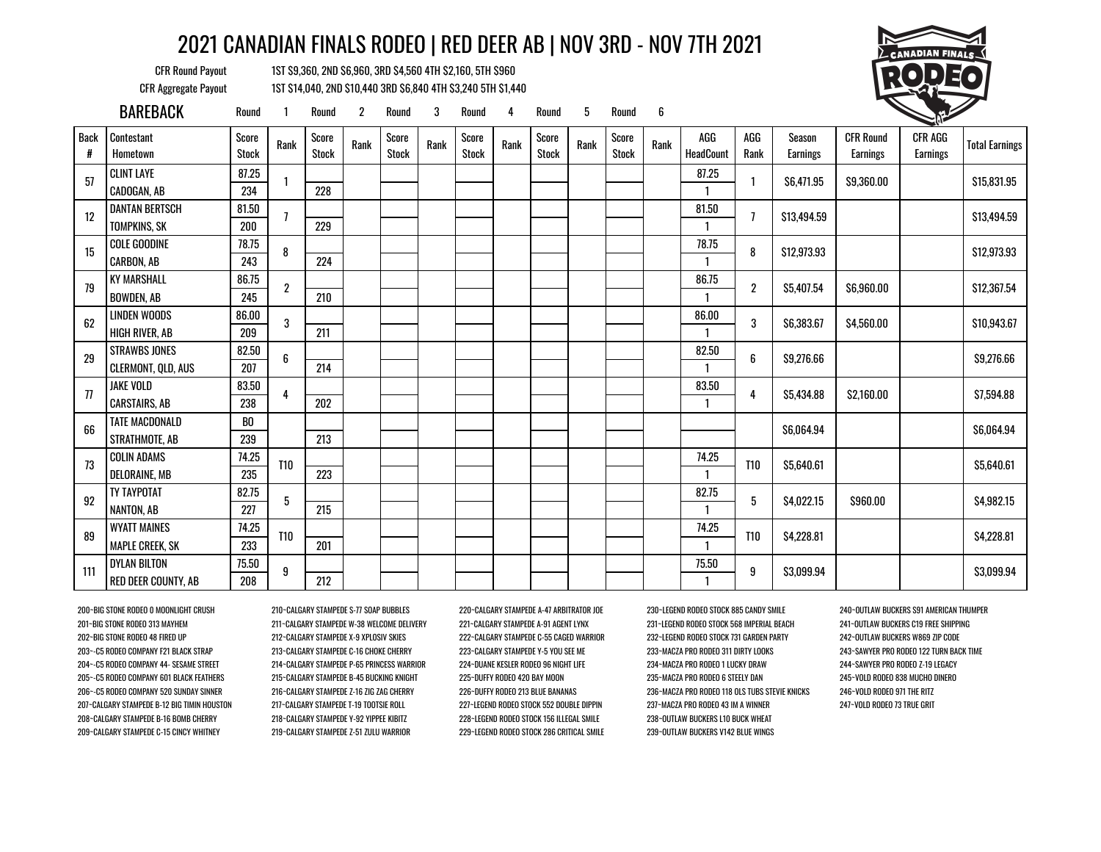CFR Round Payout 1ST \$9,360, 2ND \$6,960, 3RD \$4,560 4TH \$2,160, 5TH \$960 CFR Aggregate Payout 1ST \$14,040, 2ND \$10,440 3RD \$6,840 4TH \$3,240 5TH \$1,440



|                  | <b>BAREBACK</b>        | Round                 |            | Round                 | $\overline{2}$ | Round                 | 3    | Round                 | 4    | Round                 | 5    | Round                 | 6    |                         |                |                    |                                     | <b>CONTROLLER</b>          |                       |
|------------------|------------------------|-----------------------|------------|-----------------------|----------------|-----------------------|------|-----------------------|------|-----------------------|------|-----------------------|------|-------------------------|----------------|--------------------|-------------------------------------|----------------------------|-----------------------|
| <b>Back</b><br># | Contestant<br>Hometown | Score<br><b>Stock</b> | Rank       | Score<br><b>Stock</b> | Rank           | Score<br><b>Stock</b> | Rank | Score<br><b>Stock</b> | Rank | Score<br><b>Stock</b> | Rank | Score<br><b>Stock</b> | Rank | AGG<br><b>HeadCount</b> | AGG<br>Rank    | Season<br>Earnings | <b>CFR Round</b><br><b>Earnings</b> | CFR AGG<br><b>Earnings</b> | <b>Total Earnings</b> |
| 57               | <b>CLINT LAYE</b>      | 87.25                 |            |                       |                |                       |      |                       |      |                       |      |                       |      | 87.25                   |                | \$6,471.95         | \$9,360.00                          |                            | \$15,831.95           |
|                  | CADOGAN, AB            | 234                   |            | 228                   |                |                       |      |                       |      |                       |      |                       |      |                         |                |                    |                                     |                            |                       |
| 12               | <b>DANTAN BERTSCH</b>  | 81.50                 |            |                       |                |                       |      |                       |      |                       |      |                       |      | 81.50                   | 7              | \$13,494.59        |                                     |                            | \$13,494.59           |
|                  | TOMPKINS, SK           | 200                   |            | 229                   |                |                       |      |                       |      |                       |      |                       |      |                         |                |                    |                                     |                            |                       |
| 15               | <b>COLE GOODINE</b>    | 78.75                 | 8          |                       |                |                       |      |                       |      |                       |      |                       |      | 78.75                   | 8              | \$12,973.93        |                                     |                            | \$12,973.93           |
|                  | CARBON, AB             | 243                   |            | 224                   |                |                       |      |                       |      |                       |      |                       |      |                         |                |                    |                                     |                            |                       |
| 79               | <b>KY MARSHALL</b>     | 86.75                 | 2          |                       |                |                       |      |                       |      |                       |      |                       |      | 86.75                   | $\overline{2}$ | \$5.407.54         | \$6,960.00                          |                            | \$12,367.54           |
|                  | <b>BOWDEN, AB</b>      | 245                   |            | 210                   |                |                       |      |                       |      |                       |      |                       |      |                         |                |                    |                                     |                            |                       |
| 62               | LINDEN WOODS           | 86.00                 | 3          |                       |                |                       |      |                       |      |                       |      |                       |      | 86.00                   | 3              | \$6,383.67         | \$4,560.00                          |                            | \$10,943.67           |
|                  | HIGH RIVER, AB         | 209                   |            | 211                   |                |                       |      |                       |      |                       |      |                       |      |                         |                |                    |                                     |                            |                       |
| 29               | <b>STRAWBS JONES</b>   | 82.50                 | 6          |                       |                |                       |      |                       |      |                       |      |                       |      | 82.50                   | 6              | \$9,276.66         |                                     |                            | \$9,276.66            |
|                  | CLERMONT, QLD, AUS     | 207                   |            | 214                   |                |                       |      |                       |      |                       |      |                       |      | $\mathbf{1}$            |                |                    |                                     |                            |                       |
| 77               | JAKE VOLD              | 83.50                 | 4          |                       |                |                       |      |                       |      |                       |      |                       |      | 83.50                   | 4              | \$5,434.88         | \$2,160.00                          |                            | \$7,594.88            |
|                  | <b>CARSTAIRS, AB</b>   | 238                   |            | 202                   |                |                       |      |                       |      |                       |      |                       |      |                         |                |                    |                                     |                            |                       |
| 66               | <b>TATE MACDONALD</b>  | BO                    |            |                       |                |                       |      |                       |      |                       |      |                       |      |                         |                | \$6,064.94         |                                     |                            | \$6,064.94            |
|                  | STRATHMOTE, AB         | 239                   |            | 213                   |                |                       |      |                       |      |                       |      |                       |      |                         |                |                    |                                     |                            |                       |
| 73               | <b>COLIN ADAMS</b>     | 74.25                 | <b>T10</b> |                       |                |                       |      |                       |      |                       |      |                       |      | 74.25                   | <b>T10</b>     | \$5,640.61         |                                     |                            | \$5,640.61            |
|                  | DELORAINE, MB          | 235                   |            | 223                   |                |                       |      |                       |      |                       |      |                       |      |                         |                |                    |                                     |                            |                       |
| 92               | <b>TY TAYPOTAT</b>     | 82.75                 |            |                       |                |                       |      |                       |      |                       |      |                       |      | 82.75                   |                |                    |                                     |                            |                       |
|                  | NANTON, AB             | 227                   | 5          | 215                   |                |                       |      |                       |      |                       |      |                       |      |                         | 5              | \$4,022.15         | \$960.00                            |                            | \$4,982.15            |
| 89               | <b>WYATT MAINES</b>    | 74.25                 |            |                       |                |                       |      |                       |      |                       |      |                       |      | 74.25                   |                |                    |                                     |                            |                       |
|                  | <b>MAPLE CREEK, SK</b> | 233                   | <b>T10</b> | 201                   |                |                       |      |                       |      |                       |      |                       |      |                         | <b>T10</b>     | \$4,228.81         |                                     |                            | \$4,228.81            |
|                  | <b>DYLAN BILTON</b>    | 75.50                 |            |                       |                |                       |      |                       |      |                       |      |                       |      | 75.50                   |                |                    |                                     |                            |                       |
| 111              | RED DEER COUNTY, AB    | 208                   | 9          | 212                   |                |                       |      |                       |      |                       |      |                       |      |                         | 9              | \$3,099.94         |                                     |                            | \$3,099.94            |

209~CALGARY STAMPEDE C-15 CINCY WHITNEY 219~CALGARY STAMPEDE Z-51 ZULU WARRIOR 229~LEGEND RODEO STOCK 286 CRITICAL SMILE 239~OUTLAW BUCKERS V142 BLUE WINGS

200~BIG STONE RODEO 0 MOONLIGHT CRUSH 210~CALGARY STAMPEDE S-77 SOAP BUBBLES 220~CALGARY STAMPEDE A-47 ARBITRATOR JOE 230~LEGEND RODEO STOCK 885 CANDY SMILE 240~OUTLAW BUCKERS S91 AMERICAN THUMPER 208~CALGARY STAMPEDE B-16 BOMB CHERRY 218~CALGARY STAMPEDE Y-92 YIPPEE KIBITZ 228~LEGEND RODEO STOCK 156 ILLEGAL SMILE 238~OUTLAW BUCKERS L10 BUCK WHEAT

201~BIG STONE RODEO 313 MAYHEM 211~CALGARY STAMPEDE W-38 WELCOME DELIVERY 221~CALGARY STAMPEDE A-91 AGENT LYNX 231~LEGEND RODEO STOCK 568 IMPERIAL BEACH 241~OUTLAW BUCKERS C19 FREE SHIPPING 202~BIG STONE RODEO 48 FIRED UP 212~CALGARY STAMPEDE X-9 XPLOSIV SKIES 222~CALGARY STAMPEDE C-55 CAGED WARRIOR 232~LEGEND RODEO STOCK 731 GARDEN PARTY 242~OUTLAW BUCKERS W869 ZIP CODE 203~-C5 RODEO COMPANY F21 BLACK STRAP 213~CALGARY STAMPEDE C-16 CHOKE CHERRY 223~CALGARY STAMPEDE Y-5 YOU SEE ME 233~MACZA PRO RODEO 311 DIRTY LOOKS 243~SAWYER PRO RODEO 122 TURN BACK TIME 204~-C5 RODEO COMPANY 44- SESAME STREET 214~CALGARY STAMPEDE P-65 PRINCESS WARRIOR 224~DUANE KESLER RODEO 96 NIGHT LIFE 234~MACZA PRO RODEO 1 LUCKY DRAW 244~SAWYER PRO RODEO Z-19 LEGACY 205~-C5 RODEO COMPANY 601 BLACK FEATHERS 215~CALGARY STAMPEDE B-45 BUCKING KNIGHT 225~DUFFY RODEO 420 BAY MOON 235~MACZA PRO RODEO 6 STEELY DAN 245~VOLD RODEO 838 MUCHO DINERO 206~-C5 RODEO COMPANY 520 SUNDAY SINNER 216~CALGARY STAMPEDE Z-16 ZIG ZAG CHERRY 226~DUFFY RODEO 213 BLUE BANANAS 236~MACZA PRO RODEO 118 OLS TUBS STEVIE KNICKS 246~VOLD RODEO 971 THE RITZ 207~CALGARY STAMPEDE B-12 BIG TIMIN HOUSTON 217~CALGARY STAMPEDE T-19 TOOTSIE ROLL 227~LEGEND RODEO STOCK 552 DOUBLE DIPPIN 237~MACZA PRO RODEO 43 IM A WINNER 247~VOLD RODEO 73 TRUE GRIT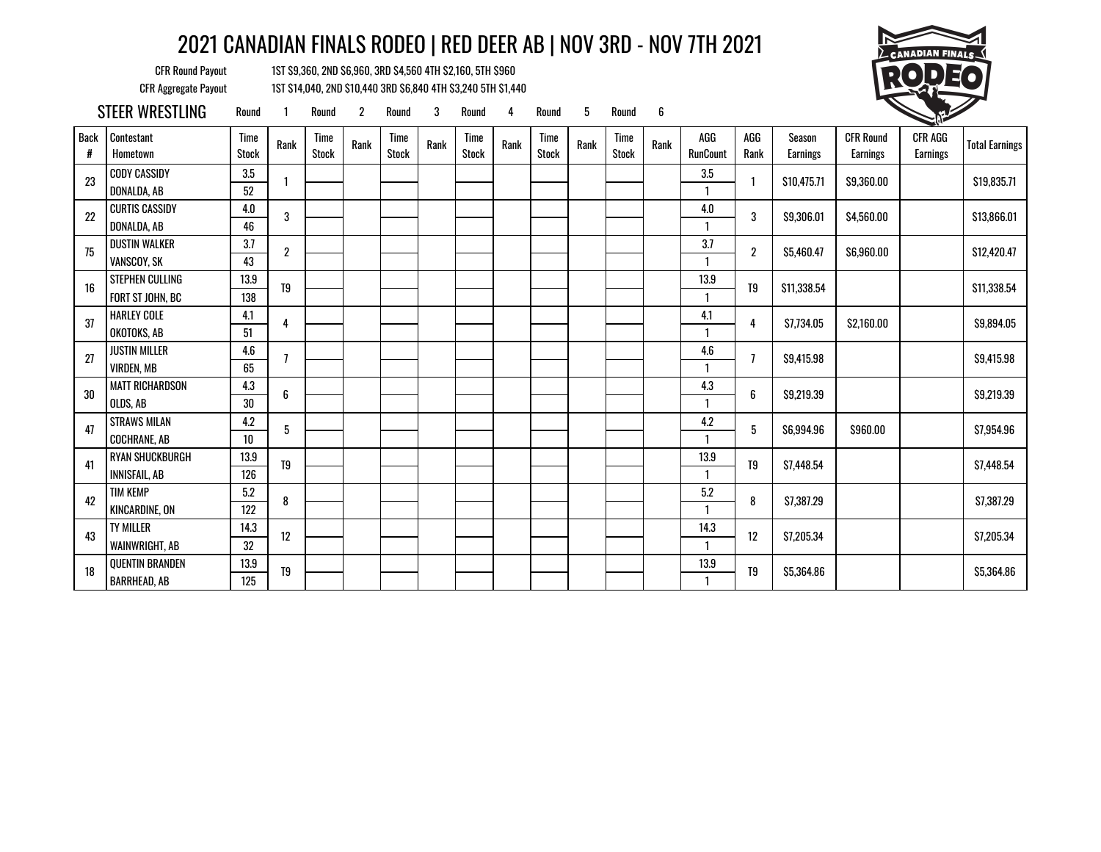CFR Round Payout 1ST \$9,360, 2ND \$6,960, 3RD \$4,560 4TH \$2,160, 5TH \$960 CFR Aggregate Payout 1ST \$14,040, 2ND \$10,440 3RD \$6,840 4TH \$3,240 5TH \$1,440



STEER WRESTLING Round 1 Round 2 Round 3 Round 4 Round 5 Round 6

| <b>Back</b><br># | Contestant<br>Hometown | Time<br><b>Stock</b> | Rank             | Time<br><b>Stock</b> | Rank | Time<br><b>Stock</b> | Rank | Time<br><b>Stock</b> | Rank | <b>Time</b><br><b>Stock</b> | Rank | <b>Time</b><br><b>Stock</b> | Rank | AGG<br><b>RunCount</b> | AGG<br>Rank    | <b>Season</b><br>Earnings | <b>CFR Round</b><br>Earnings | CFR AGG<br>Earnings | <b>Total Earnings</b> |
|------------------|------------------------|----------------------|------------------|----------------------|------|----------------------|------|----------------------|------|-----------------------------|------|-----------------------------|------|------------------------|----------------|---------------------------|------------------------------|---------------------|-----------------------|
| 23               | <b>CODY CASSIDY</b>    | 3.5                  | 1                |                      |      |                      |      |                      |      |                             |      |                             |      | 3.5                    | $\mathbf{1}$   | \$10,475.71               | \$9,360.00                   |                     | \$19,835.71           |
|                  | DONALDA, AB            | 52                   |                  |                      |      |                      |      |                      |      |                             |      |                             |      |                        |                |                           |                              |                     |                       |
| 22               | <b>CURTIS CASSIDY</b>  | $4.0\,$              | 3                |                      |      |                      |      |                      |      |                             |      |                             |      | $4.0\,$                | 3              | \$9,306.01                | \$4,560.00                   |                     | \$13,866.01           |
|                  | DONALDA, AB            | 46                   |                  |                      |      |                      |      |                      |      |                             |      |                             |      |                        |                |                           |                              |                     |                       |
| 75               | <b>DUSTIN WALKER</b>   | 3.7                  | $\boldsymbol{2}$ |                      |      |                      |      |                      |      |                             |      |                             |      | 3.7                    | $\overline{2}$ | \$5,460.47                | \$6,960.00                   |                     | \$12,420.47           |
|                  | VANSCOY, SK            | 43                   |                  |                      |      |                      |      |                      |      |                             |      |                             |      |                        |                |                           |                              |                     |                       |
|                  | STEPHEN CULLING        | 13.9                 |                  |                      |      |                      |      |                      |      |                             |      |                             |      | 13.9                   |                |                           |                              |                     |                       |
| 16               | FORT ST JOHN, BC       | 138                  | T <sub>9</sub>   |                      |      |                      |      |                      |      |                             |      |                             |      |                        | T9             | \$11,338.54               |                              |                     | \$11,338.54           |
|                  | <b>HARLEY COLE</b>     | 4.1                  |                  |                      |      |                      |      |                      |      |                             |      |                             |      | 4.1                    |                |                           |                              |                     |                       |
| 37               | OKOTOKS, AB            | 51                   | 4                |                      |      |                      |      |                      |      |                             |      |                             |      |                        | 4              | \$7,734.05                | \$2,160.00                   |                     | \$9,894.05            |
|                  | <b>JUSTIN MILLER</b>   | 4.6                  |                  |                      |      |                      |      |                      |      |                             |      |                             |      | 4.6                    |                |                           |                              |                     |                       |
| 27               | <b>VIRDEN, MB</b>      | 65                   | $\overline{1}$   |                      |      |                      |      |                      |      |                             |      |                             |      |                        | $\overline{1}$ | \$9,415.98                |                              |                     | \$9,415.98            |
|                  | <b>MATT RICHARDSON</b> | 4.3                  |                  |                      |      |                      |      |                      |      |                             |      |                             |      | 4.3                    |                |                           |                              |                     |                       |
| 30               | OLDS, AB               | 30                   | 6                |                      |      |                      |      |                      |      |                             |      |                             |      | -1                     | 6              | \$9,219.39                |                              |                     | \$9,219.39            |
|                  | <b>STRAWS MILAN</b>    | 4.2                  |                  |                      |      |                      |      |                      |      |                             |      |                             |      | 4.2                    |                |                           |                              |                     |                       |
| 47               | <b>COCHRANE, AB</b>    | $10\,$               | 5                |                      |      |                      |      |                      |      |                             |      |                             |      |                        | 5              | \$6,994.96                | \$960.00                     |                     | \$7,954.96            |
|                  | <b>RYAN SHUCKBURGH</b> | 13.9                 |                  |                      |      |                      |      |                      |      |                             |      |                             |      | 13.9                   |                |                           |                              |                     |                       |
| 41               | INNISFAIL, AB          | 126                  | T9               |                      |      |                      |      |                      |      |                             |      |                             |      |                        | T <sub>9</sub> | \$7,448.54                |                              |                     | \$7,448.54            |
|                  | <b>TIM KEMP</b>        | 5.2                  |                  |                      |      |                      |      |                      |      |                             |      |                             |      | 5.2                    |                |                           |                              |                     |                       |
| 42               | KINCARDINE, ON         | 122                  | 8                |                      |      |                      |      |                      |      |                             |      |                             |      | 1                      | 8              | \$7,387.29                |                              |                     | \$7,387.29            |
|                  | <b>TY MILLER</b>       | 14.3                 |                  |                      |      |                      |      |                      |      |                             |      |                             |      | 14.3                   |                |                           |                              |                     |                       |
| 43               | WAINWRIGHT, AB         | 32                   | 12               |                      |      |                      |      |                      |      |                             |      |                             |      | -1                     | 12             | \$7,205.34                |                              |                     | \$7,205.34            |
|                  | <b>QUENTIN BRANDEN</b> | 13.9                 |                  |                      |      |                      |      |                      |      |                             |      |                             |      | 13.9                   |                |                           |                              |                     |                       |
| 18               | <b>BARRHEAD, AB</b>    | 125                  | T9               |                      |      |                      |      |                      |      |                             |      |                             |      |                        | T9             | \$5,364.86                |                              |                     | \$5,364.86            |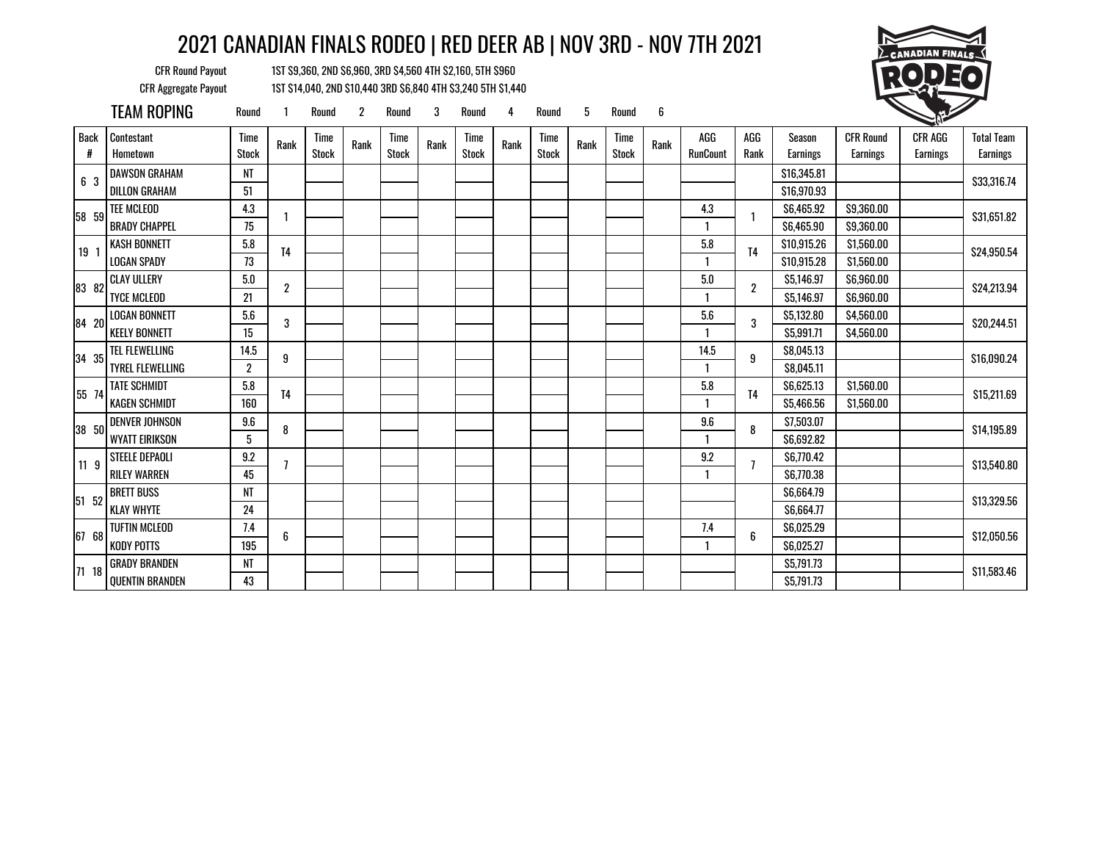CFR Round Payout 1ST \$9,360, 2ND \$6,960, 3RD \$4,560 4TH \$2,160, 5TH \$960 CFR Aggregate Payout 1ST \$14,040, 2ND \$10,440 3RD \$6,840 4TH \$3,240 5TH \$1,440



TEAM ROPING Round <sup>1</sup> Round <sup>2</sup> Round <sup>3</sup> Round <sup>4</sup> Round <sup>5</sup> Round <sup>6</sup> <sup>1</sup>

| <b>Back</b><br># | Contestant<br>Hometown  | Time<br><b>Stock</b> | Rank           | Time<br><b>Stock</b> | Rank | Time<br><b>Stock</b> | Rank | Time<br><b>Stock</b> | Rank | Time<br><b>Stock</b> | Rank | Time<br><b>Stock</b> | Rank | AGG<br><b>RunCount</b> | AGG<br>Rank    | Season<br><b>Earnings</b> | <b>CFR Round</b><br>Earnings | CFR AGG<br><b>Earnings</b> | <b>Total Team</b><br><b>Earnings</b> |
|------------------|-------------------------|----------------------|----------------|----------------------|------|----------------------|------|----------------------|------|----------------------|------|----------------------|------|------------------------|----------------|---------------------------|------------------------------|----------------------------|--------------------------------------|
| 6 3              | <b>DAWSON GRAHAM</b>    | NT                   |                |                      |      |                      |      |                      |      |                      |      |                      |      |                        |                | \$16,345.81               |                              |                            | \$33,316.74                          |
|                  | DILLON GRAHAM           | 51                   |                |                      |      |                      |      |                      |      |                      |      |                      |      |                        |                | \$16,970.93               |                              |                            |                                      |
| 58 59            | <b>TEE MCLEOD</b>       | 4.3                  |                |                      |      |                      |      |                      |      |                      |      |                      |      | 4.3                    |                | \$6,465.92                | \$9,360.00                   |                            | \$31,651.82                          |
|                  | <b>BRADY CHAPPEL</b>    | 75                   |                |                      |      |                      |      |                      |      |                      |      |                      |      |                        |                | \$6,465.90                | \$9,360.00                   |                            |                                      |
| 19 1             | <b>KASH BONNETT</b>     | 5.8                  | T <sub>4</sub> |                      |      |                      |      |                      |      |                      |      |                      |      | 5.8                    | T <sub>4</sub> | \$10,915.26               | \$1,560.00                   |                            | \$24,950.54                          |
|                  | <b>LOGAN SPADY</b>      | 73                   |                |                      |      |                      |      |                      |      |                      |      |                      |      |                        |                | \$10,915.28               | \$1,560.00                   |                            |                                      |
| 83 82            | <b>CLAY ULLERY</b>      | 5.0                  | $\overline{2}$ |                      |      |                      |      |                      |      |                      |      |                      |      | 5.0                    | $\overline{2}$ | \$5,146.97                | \$6,960.00                   |                            | \$24,213.94                          |
|                  | <b>TYCE MCLEOD</b>      | 21                   |                |                      |      |                      |      |                      |      |                      |      |                      |      |                        |                | \$5,146.97                | \$6,960.00                   |                            |                                      |
| 84 20            | <b>LOGAN BONNETT</b>    | 5.6                  | 3              |                      |      |                      |      |                      |      |                      |      |                      |      | 5.6                    | 3              | \$5,132.80                | \$4,560.00                   |                            | \$20,244.51                          |
|                  | <b>KEELY BONNETT</b>    | 15                   |                |                      |      |                      |      |                      |      |                      |      |                      |      |                        |                | \$5,991.71                | \$4,560.00                   |                            |                                      |
|                  | TEL FLEWELLING          | 14.5                 | 9              |                      |      |                      |      |                      |      |                      |      |                      |      | 14.5                   | 9              | \$8,045.13                |                              |                            |                                      |
| 34 35            | <b>TYREL FLEWELLING</b> | $\overline{2}$       |                |                      |      |                      |      |                      |      |                      |      |                      |      |                        |                | \$8,045.11                |                              |                            | \$16,090.24                          |
| 55 74            | <b>TATE SCHMIDT</b>     | 5.8                  | T <sub>4</sub> |                      |      |                      |      |                      |      |                      |      |                      |      | 5.8                    |                | \$6,625.13                | \$1,560.00                   |                            |                                      |
|                  | <b>KAGEN SCHMIDT</b>    | 160                  |                |                      |      |                      |      |                      |      |                      |      |                      |      |                        | T <sub>4</sub> | \$5,466.56                | \$1,560.00                   |                            | \$15,211.69                          |
|                  | <b>DENVER JOHNSON</b>   | 9.6                  |                |                      |      |                      |      |                      |      |                      |      |                      |      | 9.6                    |                | \$7,503.07                |                              |                            |                                      |
| 38 50            | <b>WYATT EIRIKSON</b>   | 5                    | 8              |                      |      |                      |      |                      |      |                      |      |                      |      |                        | 8              | \$6,692.82                |                              |                            | \$14,195.89                          |
| 119              | STEELE DEPAOLI          | 9.2                  |                |                      |      |                      |      |                      |      |                      |      |                      |      | 9.2                    |                | \$6,770.42                |                              |                            |                                      |
|                  | <b>RILEY WARREN</b>     | 45                   |                |                      |      |                      |      |                      |      |                      |      |                      |      | 1                      |                | \$6,770.38                |                              |                            | \$13,540.80                          |
|                  | <b>BRETT BUSS</b>       | NT                   |                |                      |      |                      |      |                      |      |                      |      |                      |      |                        |                | \$6,664.79                |                              |                            |                                      |
| 51 52            | <b>KLAY WHYTE</b>       | 24                   |                |                      |      |                      |      |                      |      |                      |      |                      |      |                        |                | \$6,664.77                |                              |                            | \$13,329.56                          |
|                  | <b>TUFTIN MCLEOD</b>    | 7.4                  |                |                      |      |                      |      |                      |      |                      |      |                      |      | 7.4                    |                | \$6,025.29                |                              |                            |                                      |
| 67 68            | <b>KODY POTTS</b>       | 195                  | 6              |                      |      |                      |      |                      |      |                      |      |                      |      |                        | 6              | \$6,025.27                |                              |                            | \$12,050.56                          |
|                  | <b>GRADY BRANDEN</b>    | NT                   |                |                      |      |                      |      |                      |      |                      |      |                      |      |                        |                | \$5,791.73                |                              |                            |                                      |
| 71 18            | <b>QUENTIN BRANDEN</b>  | 43                   |                |                      |      |                      |      |                      |      |                      |      |                      |      |                        |                | \$5,791.73                |                              |                            | \$11,583.46                          |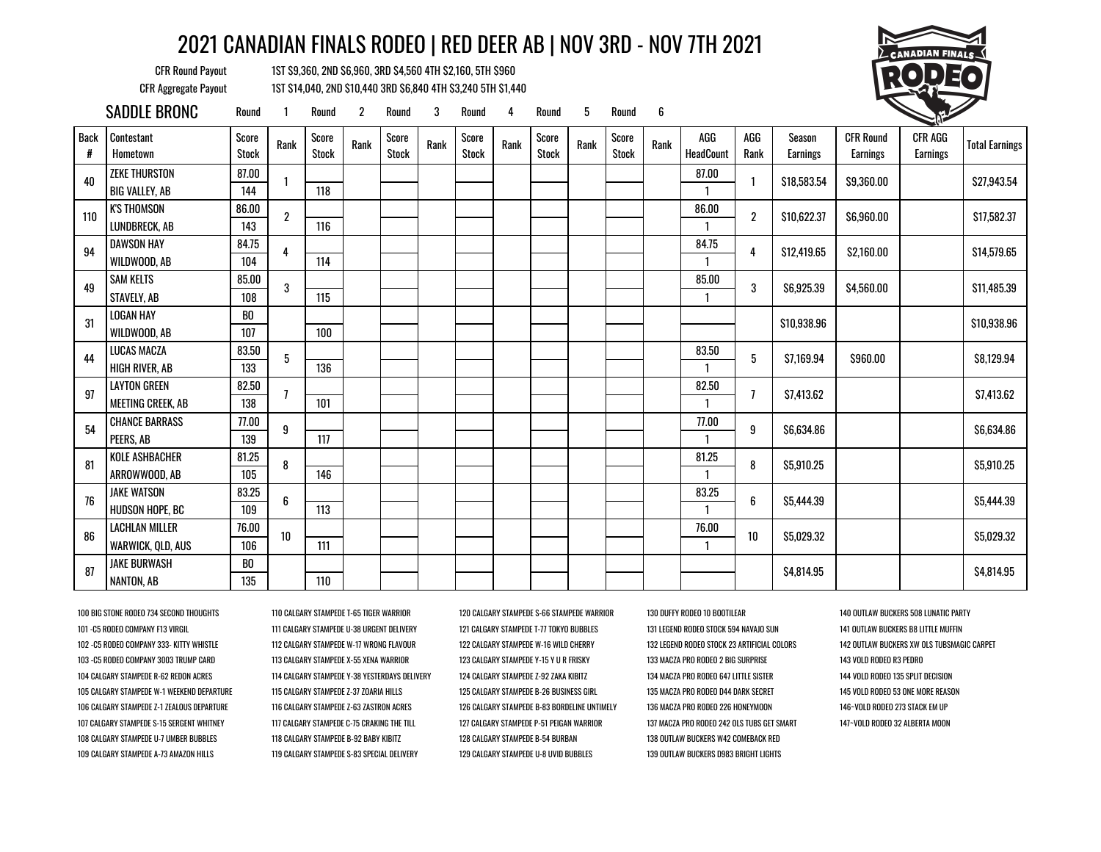CFR Round Payout 1ST \$9,360, 2ND \$6,960, 3RD \$4,560 4TH \$2,160, 5TH \$960 CFR Aggregate Payout 1ST \$14,040, 2ND \$10,440 3RD \$6,840 4TH \$3,240 5TH \$1,440



|                  | SADDLE BRONC           | Round                 |                  | Round                 | 2    | Round                 | 3    | Round          | 4    | Round                 | 5    | Round                 | 6    |                  |                |                    |                              | <b>CONTRACTOR</b>          |                       |
|------------------|------------------------|-----------------------|------------------|-----------------------|------|-----------------------|------|----------------|------|-----------------------|------|-----------------------|------|------------------|----------------|--------------------|------------------------------|----------------------------|-----------------------|
| <b>Back</b><br># | Contestant<br>Hometown | Score<br><b>Stock</b> | Rank             | Score<br><b>Stock</b> | Rank | Score<br><b>Stock</b> | Rank | Score<br>Stock | Rank | Score<br><b>Stock</b> | Rank | Score<br><b>Stock</b> | Rank | AGG<br>HeadCount | AGG<br>Rank    | Season<br>Earnings | <b>CFR Round</b><br>Earnings | CFR AGG<br><b>Earnings</b> | <b>Total Earnings</b> |
| 40               | <b>ZEKE THURSTON</b>   | 87.00                 |                  |                       |      |                       |      |                |      |                       |      |                       |      | 87.00            |                | \$18,583.54        | \$9,360.00                   |                            | \$27,943.54           |
|                  | <b>BIG VALLEY, AB</b>  | 144                   |                  | 118                   |      |                       |      |                |      |                       |      |                       |      |                  |                |                    |                              |                            |                       |
| 110              | <b>K'S THOMSON</b>     | 86.00                 | $\boldsymbol{2}$ |                       |      |                       |      |                |      |                       |      |                       |      | 86.00            | $\overline{2}$ | \$10,622.37        | \$6,960.00                   |                            | \$17,582.37           |
|                  | LUNDBRECK, AB          | 143                   |                  | 116                   |      |                       |      |                |      |                       |      |                       |      |                  |                |                    |                              |                            |                       |
| 94               | DAWSON HAY             | 84.75                 | 4                |                       |      |                       |      |                |      |                       |      |                       |      | 84.75            | 4              | \$12,419.65        | \$2,160.00                   |                            | \$14,579.65           |
|                  | WILDWOOD, AB           | 104                   |                  | 114                   |      |                       |      |                |      |                       |      |                       |      |                  |                |                    |                              |                            |                       |
| 49               | <b>SAM KELTS</b>       | 85.00                 | 3                |                       |      |                       |      |                |      |                       |      |                       |      | 85.00            | 3              | \$6,925.39         | \$4,560.00                   |                            | \$11,485.39           |
|                  | STAVELY, AB            | 108                   |                  | 115                   |      |                       |      |                |      |                       |      |                       |      |                  |                |                    |                              |                            |                       |
| 31               | <b>LOGAN HAY</b>       | BO                    |                  |                       |      |                       |      |                |      |                       |      |                       |      |                  |                | \$10,938.96        |                              |                            | \$10,938.96           |
|                  | WILDWOOD, AB           | 107                   |                  | 100                   |      |                       |      |                |      |                       |      |                       |      |                  |                |                    |                              |                            |                       |
| 44               | LUCAS MACZA            | 83.50                 | 5                |                       |      |                       |      |                |      |                       |      |                       |      | 83.50            | 5              | \$7,169.94         | \$960.00                     |                            | \$8,129.94            |
|                  | HIGH RIVER, AB         | 133                   |                  | 136                   |      |                       |      |                |      |                       |      |                       |      |                  |                |                    |                              |                            |                       |
| 97               | <b>LAYTON GREEN</b>    | 82.50                 | 7                |                       |      |                       |      |                |      |                       |      |                       |      | 82.50            | 7              | \$7,413.62         |                              |                            | \$7,413.62            |
|                  | MEETING CREEK, AB      | 138                   |                  | 101                   |      |                       |      |                |      |                       |      |                       |      |                  |                |                    |                              |                            |                       |
| 54               | <b>CHANCE BARRASS</b>  | 77.00                 | 9                |                       |      |                       |      |                |      |                       |      |                       |      | 77.00            | 9              | \$6,634.86         |                              |                            | \$6,634.86            |
|                  | PEERS. AB              | 139                   |                  | 117                   |      |                       |      |                |      |                       |      |                       |      | $\mathbf{1}$     |                |                    |                              |                            |                       |
| 81               | <b>KOLE ASHBACHER</b>  | 81.25                 | 8                |                       |      |                       |      |                |      |                       |      |                       |      | 81.25            | 8              | \$5,910.25         |                              |                            | \$5,910.25            |
|                  | ARROWWOOD, AB          | 105                   |                  | 146                   |      |                       |      |                |      |                       |      |                       |      |                  |                |                    |                              |                            |                       |
| 76               | <b>JAKE WATSON</b>     | 83.25                 | 6                |                       |      |                       |      |                |      |                       |      |                       |      | 83.25            | 6              | \$5,444.39         |                              |                            | \$5,444.39            |
|                  | <b>HUDSON HOPE, BC</b> | 109                   |                  | 113                   |      |                       |      |                |      |                       |      |                       |      |                  |                |                    |                              |                            |                       |
| 86               | <b>LACHLAN MILLER</b>  | 76.00                 | 10               |                       |      |                       |      |                |      |                       |      |                       |      | 76.00            | 10             | \$5,029.32         |                              |                            | \$5,029.32            |
|                  | WARWICK, QLD, AUS      | 106                   |                  | 111                   |      |                       |      |                |      |                       |      |                       |      |                  |                |                    |                              |                            |                       |
| 87               | <b>JAKE BURWASH</b>    | BO                    |                  |                       |      |                       |      |                |      |                       |      |                       |      |                  |                | \$4,814.95         |                              |                            | \$4,814.95            |
|                  | NANTON, AB             | 135                   |                  | 110                   |      |                       |      |                |      |                       |      |                       |      |                  |                |                    |                              |                            |                       |

100 BIG STONE RODEO 734 SECOND THOUGHTS 110 CALGARY STAMPEDE T-65 TIGER WARRIOR 120 CALGARY STAMPEDE S-66 STAMPEDE WARRIOR 130 DUFFY RODEO 10 BOOTILEAR 140 OUTLAW BUCKERS 508 LUNATIC PARTY 101 -C5 RODEO COMPANY F13 VIRGIL 111 CALGARY STAMPEDE U-38 URGENT DELIVERY 121 CALGARY STAMPEDE T-77 TOKYO BUBBLES 131 LEGEND RODEO STOCK 594 NAVAJO SUN 141 OUTLAW BUCKERS B8 LITTLE MUFFIN 102 -C5 RODEO COMPANY 333- KITTY WHISTLE 112 CALGARY STAMPEDE W-17 WRONG FLAVOUR 122 CALGARY STAMPEDE W-16 WILD CHERRY 132 LEGEND RODEO STOCK 23 ARTIFICIAL COLORS 142 OUTLAW BUCKERS XW OLS TUBSMAGIC CARPET 103 -C5 RODEO COMPANY 3003 TRUMP CARD 113 CALGARY STAMPEDE X-55 XENA WARRIOR 123 CALGARY STAMPEDE Y-15 Y U R FRISKY 133 MACZA PRO RODEO 2 BIG SURPRISE 143 VOLD RODEO R3 PEDRO 104 CALGARY STAMPEDE R-62 REDON ACRES 114 CALGARY STAMPEDE Y-38 YESTERDAYS DELIVERY 124 CALGARY STAMPEDE Z-92 ZAKA KIBITZ 134 MACZA PRO RODEO 647 LITTLE SISTER 144 VOLD RODEO 135 SPLIT DECISION 105 CALGARY STAMPEDE W-1 WEEKEND DEPARTURE 115 CALGARY STAMPEDE Z-37 ZOARIA HILLS 125 CALGARY STAMPEDE B-26 BUSINESS GIRL 135 MACZA PRO RODEO D44 DARK SECRET 145 VOLD RODEO 53 ONE MORE REASON 106 CALGARY STAMPEDE Z-1 ZEALOUS DEPARTURE 116 CALGARY STAMPEDE Z-63 ZASTRON ACRES 226 CALGARY STAMPEDE B-83 BORDELINE UNTIMELY 136 MACZA PRO RODEO 226 HONEYMOON 146-VOLD RODEO 273 STACK EM UP 107 CALGARY STAMPEDE S-15 SERGENT WHITNEY 117 CALGARY STAMPEDE C-75 CRAKING THE TILL 127 CALGARY STAMPEDE P-51 PEIGAN WARRIOR 137 MACZA PRO RODEO 242 OLS TUBS GET SMART 147~VOLD RODEO 32 ALBERTA MOON 108 CALGARY STAMPEDE U-7 UMBER BUBBLES 118 CALGARY STAMPEDE B-92 BABY KIBITZ 128 CALGARY STAMPEDE B-54 BURBAN 138 OUTLAW BUCKERS W42 COMEBACK RED 109 CALGARY STAMPEDE A-73 AMAZON HILLS 119 CALGARY STAMPEDE S-83 SPECIAL DELIVERY 129 CALGARY STAMPEDE U-8 UVID BUBBLES 139 OUTLAW BUCKERS D983 BRIGHT LIGHTS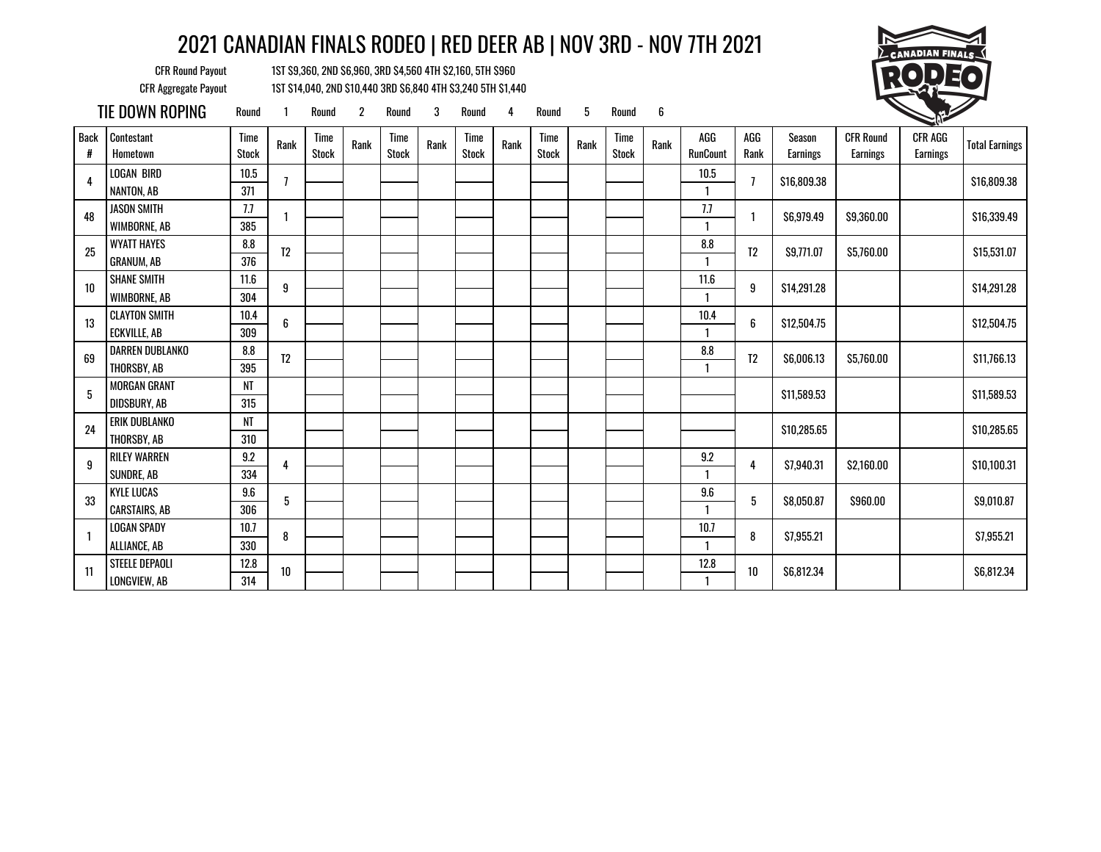CFR Round Payout 1ST \$9,360, 2ND \$6,960, 3RD \$4,560 4TH \$2,160, 5TH \$960 CFR Aggregate Payout 1ST \$14,040, 2ND \$10,440 3RD \$6,840 4TH \$3,240 5TH \$1,440



TIE DOWN ROPING Round <sup>1</sup> Round <sup>2</sup> Round <sup>3</sup> Round <sup>4</sup> Round <sup>5</sup> Round <sup>6</sup> <sup>1</sup>

| <b>Back</b><br># | Contestant<br>Hometown | Time<br><b>Stock</b> | Rank             | Time<br><b>Stock</b> | Rank | Time<br><b>Stock</b> | Rank | Time<br><b>Stock</b> | Rank | Time<br><b>Stock</b> | Rank | <b>Time</b><br><b>Stock</b> | Rank | AGG<br><b>RunCount</b> | AGG<br>Rank    | Season<br>Earnings | <b>CFR Round</b><br>Earnings | <b>CFR AGG</b><br><b>Earnings</b> | <b>Total Earnings</b> |
|------------------|------------------------|----------------------|------------------|----------------------|------|----------------------|------|----------------------|------|----------------------|------|-----------------------------|------|------------------------|----------------|--------------------|------------------------------|-----------------------------------|-----------------------|
| 4                | <b>LOGAN BIRD</b>      | 10.5                 |                  |                      |      |                      |      |                      |      |                      |      |                             |      | 10.5                   | 7              |                    |                              |                                   |                       |
|                  | NANTON, AB             | 371                  |                  |                      |      |                      |      |                      |      |                      |      |                             |      | $\mathbf{1}$           |                | \$16,809.38        |                              |                                   | \$16,809.38           |
| 48               | <b>JASON SMITH</b>     | 7.7                  |                  |                      |      |                      |      |                      |      |                      |      |                             |      | 7.7                    |                | \$6,979.49         | \$9,360.00                   |                                   | \$16,339.49           |
|                  | WIMBORNE, AB           | 385                  |                  |                      |      |                      |      |                      |      |                      |      |                             |      |                        |                |                    |                              |                                   |                       |
| 25               | <b>WYATT HAYES</b>     | 8.8                  | T <sub>2</sub>   |                      |      |                      |      |                      |      |                      |      |                             |      | $\pmb{8.8}$            | T <sub>2</sub> | \$9,771.07         | \$5,760.00                   |                                   | \$15,531.07           |
|                  | <b>GRANUM, AB</b>      | 376                  |                  |                      |      |                      |      |                      |      |                      |      |                             |      |                        |                |                    |                              |                                   |                       |
| 10               | <b>SHANE SMITH</b>     | 11.6                 | $\boldsymbol{9}$ |                      |      |                      |      |                      |      |                      |      |                             |      | 11.6                   | 9              | \$14,291.28        |                              |                                   | \$14,291.28           |
|                  | WIMBORNE, AB           | 304                  |                  |                      |      |                      |      |                      |      |                      |      |                             |      |                        |                |                    |                              |                                   |                       |
| 13               | <b>CLAYTON SMITH</b>   | $10.4$               | $\boldsymbol{6}$ |                      |      |                      |      |                      |      |                      |      |                             |      | 10.4                   | 6              | \$12,504.75        |                              |                                   | \$12,504.75           |
|                  | <b>ECKVILLE, AB</b>    | 309                  |                  |                      |      |                      |      |                      |      |                      |      |                             |      |                        |                |                    |                              |                                   |                       |
| 69               | DARREN DUBLANKO        | 8.8                  | T <sub>2</sub>   |                      |      |                      |      |                      |      |                      |      |                             |      | 8.8                    | T <sub>2</sub> | \$6,006.13         | \$5,760.00                   |                                   | \$11,766.13           |
|                  | THORSBY, AB            | 395                  |                  |                      |      |                      |      |                      |      |                      |      |                             |      | 1                      |                |                    |                              |                                   |                       |
| 5                | <b>MORGAN GRANT</b>    | NT                   |                  |                      |      |                      |      |                      |      |                      |      |                             |      |                        |                | \$11,589.53        |                              |                                   | \$11,589.53           |
|                  | DIDSBURY, AB           | 315                  |                  |                      |      |                      |      |                      |      |                      |      |                             |      |                        |                |                    |                              |                                   |                       |
| 24               | ERIK DUBLANKO          | NT                   |                  |                      |      |                      |      |                      |      |                      |      |                             |      |                        |                | \$10,285.65        |                              |                                   | \$10,285.65           |
|                  | THORSBY, AB            | 310                  |                  |                      |      |                      |      |                      |      |                      |      |                             |      |                        |                |                    |                              |                                   |                       |
| 9                | <b>RILEY WARREN</b>    | 9.2                  | 4                |                      |      |                      |      |                      |      |                      |      |                             |      | 9.2                    | 4              | \$7,940.31         | \$2,160.00                   |                                   | \$10,100.31           |
|                  | SUNDRE, AB             | 334                  |                  |                      |      |                      |      |                      |      |                      |      |                             |      | 1                      |                |                    |                              |                                   |                       |
| 33               | <b>KYLE LUCAS</b>      | 9.6                  | 5                |                      |      |                      |      |                      |      |                      |      |                             |      | $9.6\,$                | 5              | \$8,050.87         | \$960.00                     |                                   | \$9,010.87            |
|                  | <b>CARSTAIRS, AB</b>   | 306                  |                  |                      |      |                      |      |                      |      |                      |      |                             |      | 1                      |                |                    |                              |                                   |                       |
|                  | <b>LOGAN SPADY</b>     | 10.7                 | 8                |                      |      |                      |      |                      |      |                      |      |                             |      | 10.7                   | 8              | \$7,955.21         |                              |                                   | \$7,955.21            |
|                  | ALLIANCE, AB           | 330                  |                  |                      |      |                      |      |                      |      |                      |      |                             |      |                        |                |                    |                              |                                   |                       |
| 11               | STEELE DEPAOLI         | 12.8                 | 10               |                      |      |                      |      |                      |      |                      |      |                             |      | 12.8                   | $10$           | \$6,812.34         |                              |                                   | \$6,812.34            |
|                  | LONGVIEW, AB           | 314                  |                  |                      |      |                      |      |                      |      |                      |      |                             |      |                        |                |                    |                              |                                   |                       |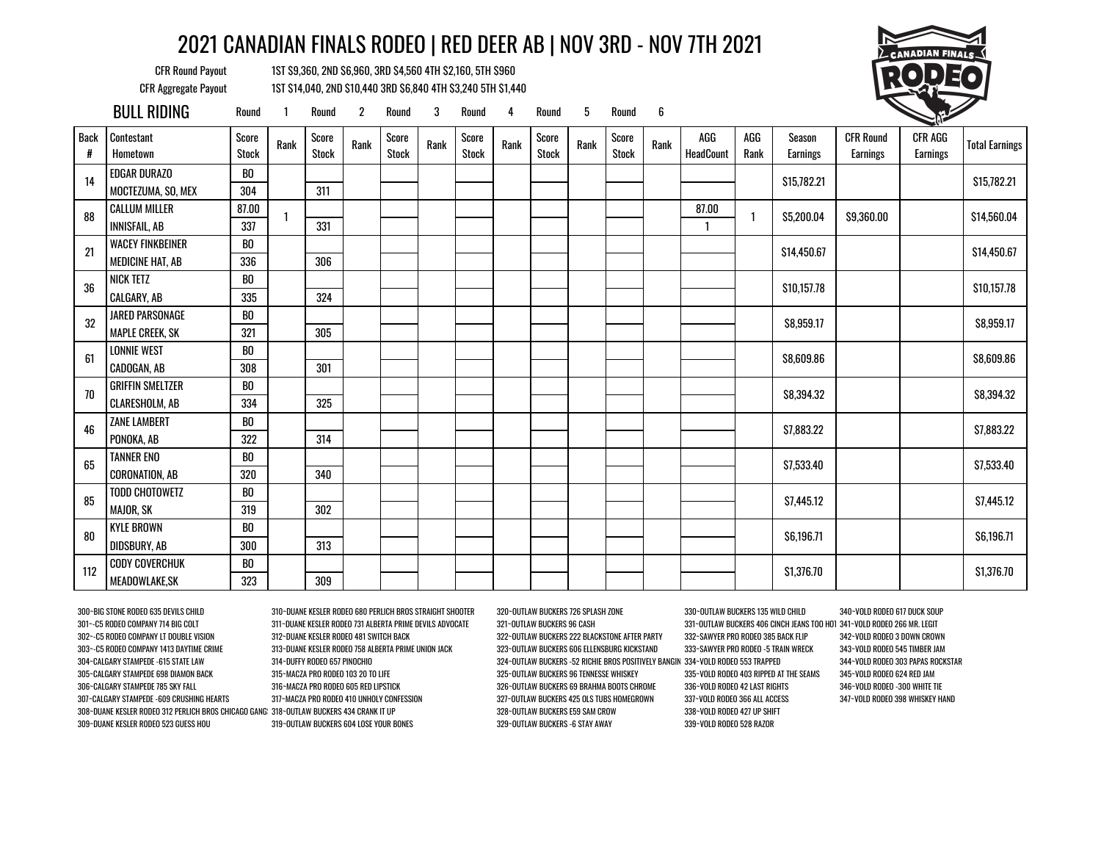CFR Round Payout 1ST \$9,360, 2ND \$6,960, 3RD \$4,560 4TH \$2,160, 5TH \$960 CFR Aggregate Payout 1ST \$14,040, 2ND \$10,440 3RD \$6,840 4TH \$3,240 5TH \$1,440



|                  | <b>BULL RIDING</b>      | Round                 |      | Round                 | $\overline{2}$ | Round                 | 3    | Round                 | 4    | Round                 | 5    | Round                 | 6    |                  |             |                    |                              | <b>CONTROLLER</b>   |                       |
|------------------|-------------------------|-----------------------|------|-----------------------|----------------|-----------------------|------|-----------------------|------|-----------------------|------|-----------------------|------|------------------|-------------|--------------------|------------------------------|---------------------|-----------------------|
| <b>Back</b><br># | Contestant<br>Hometown  | Score<br><b>Stock</b> | Rank | Score<br><b>Stock</b> | Rank           | Score<br><b>Stock</b> | Rank | Score<br><b>Stock</b> | Rank | Score<br><b>Stock</b> | Rank | Score<br><b>Stock</b> | Rank | AGG<br>HeadCount | AGG<br>Rank | Season<br>Earnings | <b>CFR Round</b><br>Earnings | CFR AGG<br>Earnings | <b>Total Earnings</b> |
| 14               | <b>EDGAR DURAZO</b>     | BO                    |      |                       |                |                       |      |                       |      |                       |      |                       |      |                  |             | \$15,782.21        |                              |                     | \$15,782.21           |
|                  | MOCTEZUMA, SO, MEX      | 304                   |      | 311                   |                |                       |      |                       |      |                       |      |                       |      |                  |             |                    |                              |                     |                       |
| 88               | <b>CALLUM MILLER</b>    | 87.00                 |      |                       |                |                       |      |                       |      |                       |      |                       |      | 87.00            |             | \$5,200.04         | \$9,360.00                   |                     | \$14,560.04           |
|                  | <b>INNISFAIL, AB</b>    | 337                   |      | 331                   |                |                       |      |                       |      |                       |      |                       |      | 1                |             |                    |                              |                     |                       |
| 21               | <b>WACEY FINKBEINER</b> | B <sub>0</sub>        |      |                       |                |                       |      |                       |      |                       |      |                       |      |                  |             | \$14,450.67        |                              |                     | \$14,450.67           |
|                  | <b>MEDICINE HAT, AB</b> | 336                   |      | 306                   |                |                       |      |                       |      |                       |      |                       |      |                  |             |                    |                              |                     |                       |
| 36               | NICK TETZ               | BO                    |      |                       |                |                       |      |                       |      |                       |      |                       |      |                  |             | \$10,157.78        |                              |                     | \$10,157.78           |
|                  | CALGARY, AB             | 335                   |      | 324                   |                |                       |      |                       |      |                       |      |                       |      |                  |             |                    |                              |                     |                       |
| 32               | JARED PARSONAGE         | BO                    |      |                       |                |                       |      |                       |      |                       |      |                       |      |                  |             | \$8,959.17         |                              |                     | \$8,959.17            |
|                  | <b>MAPLE CREEK, SK</b>  | 321                   |      | 305                   |                |                       |      |                       |      |                       |      |                       |      |                  |             |                    |                              |                     |                       |
| 61               | <b>LONNIE WEST</b>      | BO                    |      |                       |                |                       |      |                       |      |                       |      |                       |      |                  |             | \$8,609.86         |                              |                     | \$8,609.86            |
|                  | CADOGAN, AB             | 308                   |      | 301                   |                |                       |      |                       |      |                       |      |                       |      |                  |             |                    |                              |                     |                       |
| 70               | <b>GRIFFIN SMELTZER</b> | BO                    |      |                       |                |                       |      |                       |      |                       |      |                       |      |                  |             | \$8,394.32         |                              |                     | \$8,394.32            |
|                  | CLARESHOLM, AB          | 334                   |      | 325                   |                |                       |      |                       |      |                       |      |                       |      |                  |             |                    |                              |                     |                       |
| 46               | <b>ZANE LAMBERT</b>     | BO                    |      |                       |                |                       |      |                       |      |                       |      |                       |      |                  |             | \$7,883.22         |                              |                     | \$7,883.22            |
|                  | PONOKA, AB              | 322                   |      | 314                   |                |                       |      |                       |      |                       |      |                       |      |                  |             |                    |                              |                     |                       |
| 65               | <b>TANNER ENO</b>       | B <sub>0</sub>        |      |                       |                |                       |      |                       |      |                       |      |                       |      |                  |             | \$7,533.40         |                              |                     | \$7,533.40            |
|                  | <b>CORONATION, AB</b>   | 320                   |      | 340                   |                |                       |      |                       |      |                       |      |                       |      |                  |             |                    |                              |                     |                       |
| 85               | <b>TODD CHOTOWETZ</b>   | BO                    |      |                       |                |                       |      |                       |      |                       |      |                       |      |                  |             | \$7,445.12         |                              |                     | \$7,445.12            |
|                  | <b>MAJOR, SK</b>        | 319                   |      | 302                   |                |                       |      |                       |      |                       |      |                       |      |                  |             |                    |                              |                     |                       |
| 80               | <b>KYLE BROWN</b>       | BO                    |      |                       |                |                       |      |                       |      |                       |      |                       |      |                  |             | \$6,196.71         |                              |                     | \$6,196.71            |
|                  | DIDSBURY, AB            | 300                   |      | 313                   |                |                       |      |                       |      |                       |      |                       |      |                  |             |                    |                              |                     |                       |
| 112              | <b>CODY COVERCHUK</b>   | BO                    |      |                       |                |                       |      |                       |      |                       |      |                       |      |                  |             | \$1,376.70         |                              |                     | \$1,376.70            |
|                  | MEADOWLAKE, SK          | 323                   |      | 309                   |                |                       |      |                       |      |                       |      |                       |      |                  |             |                    |                              |                     |                       |

301~-C5 RODEO COMPANY 714 BIG COLT 311~DUANE KESLER RODEO 731 ALBERTA PRIME DEVILS ADVOCATE 321~OUTLAW BUCKERS 96 CASH 331~OUTLAW BUCKERS 406 CINCH JEANS TOO HOT 341~VOLD RODEO 266 MR. LEGIT 302~-C5 RODEO COMPANY LT DOUBLE VISION 312~DUANE KESLER RODEO 481 SWITCH BACK 322~OUTLAW BUCKERS 222 BLACKSTONE AFTER PARTY 332~SAWYER PRO RODEO 385 BACK FLIP 342~VOLD RODEO 3 DOWN CROWN 303~-C5 RODEO COMPANY 1413 DAYTIME CRIME 313~DUANE KESLER RODEO 758 ALBERTA PRIME UNION JACK 323~OUTLAW BUCKERS 606 ELLENSBURG KICKSTAND 333~SAWYER PRO RODEO -5 TRAIN WRECK 343~VOLD RODEO 545 TIMBER JAM 304~CALGARY STAMPEDE -615 STATE LAW 314~DUFFY RODEO 657 PINOCHIO 324~OUTLAW BUCKERS -52 RICHIE BROS POSITIVELY BANGIN 334~VOLD RODEO 553 TRAPPED 344~VOLD RODEO 303 PAPAS ROCKSTAR 305~CALGARY STAMPEDE 698 DIAMON BACK 315~MACZA PRO RODEO 103 20 TO LIFE 325~OUTLAW BUCKERS 96 TENNESSE WHISKEY 335~VOLD RODEO 403 RIPPED AT THE SEAMS 345~VOLD RODEO 624 RED JAM 306~CALGARY STAMPEDE 785 SKY FALL 316~MACZA PRO RODEO 605 RED LIPSTICK 326~OUTLAW BUCKERS 69 BRAHMA BOOTS CHROME 336~VOLD RODEO 42 LAST RIGHTS 346~VOLD RODEO -300 WHITE TIE 307~CALGARY STAMPEDE -609 CRUSHING HEARTS 317~MACZA PRO RODEO 410 UNHOLY CONFESSION 327~OUTLAW BUCKERS 425 OLS TUBS HOMEGROWN 337~VOLD RODEO 366 ALL ACCESS 347~VOLD RODEO 398 WHISKEY HAND 308~DUANE KESLER RODEO 312 PERLICH BROS CHICAGO GANGSTER 318~OUTLAW BUCKERS 434 CRANK IT UP 328~OUTLAW BUCKERS E59 SAM CROW 338~VOLD RODEO 427 UP SHIFT 309~DUANE KESLER RODEO 523 GUESS HOU 319~OUTLAW BUCKERS 604 LOSE YOUR BONES 329~OUTLAW BUCKERS -6 STAY AWAY 339~VOLD RODEO 528 RAZOR

300~BIG STONE RODEO 635 DEVILS CHILD 310~DUANE KESLER RODEO 680 PERLICH BROS STRAIGHT SHOOTER 320~OUTLAW BUCKERS 726 SPLASH ZONE 330~OUTLAW BUCKERS 135 WILD CHILD 340~VOLD RODEO 617 DUCK SOUP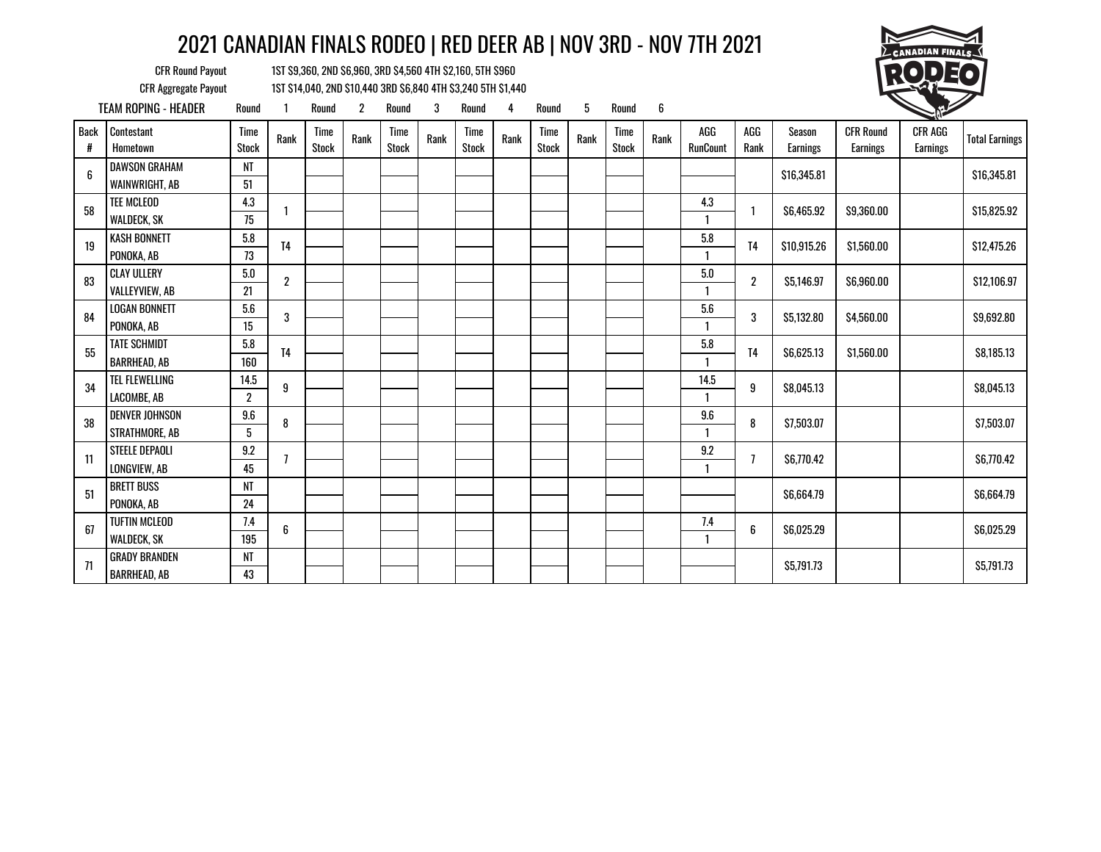

CFR Round Payout 1ST \$9,360, 2ND \$6,960, 3RD \$4,560 4TH \$2,160, 5TH \$960 CFR Aggregate Payout 1ST \$14,040, 2ND \$10,440 3RD \$6,840 4TH \$3,240 5TH \$1,440

TEAM ROPING - HEADER Round 1 Round 2 Round 3 Round 4 Round 5 Round 6 1 Back # **Contestant**  Hometown Time Time Rank Time<br>Stock Rank Stock Time Rank Time Rank Time<br>Stock Rank Stock Rank Stock Time Rank Time<br>Stock Rank Stock Rank Time Time Rank AGG<br>Stock Rank RunCount AGG Rank Season Earnings CFR Round Earnings CFR AGG Earnings Total Earnings 6 DAWSON GRAHAM NT \$16,345.81 \$0.00 \$0.00 \$16,345.81 WAINWRIGHT, AB 151 58 TEE MCLEOD  $\begin{array}{|c|c|c|}\n\hline\n&4.3 & 1 \\
\hline\n&4.3 & 1\n\end{array}$  $\frac{4.3}{4.3}$  1 \$6,465.92 \$9,360.00 \$0.00 \$15,825.92 WALDECK, SK 75 1 <sup>19</sup> KASH BONNETT 5.8 T4 5.8 T4 \$10,915.26 \$1,560.00 \$0.00 \$12,475.26 PONOKA, AB 73 1 83 CLAY ULLERY<br>VALLEYVIEW, AB  $\begin{array}{|c|c|c|c|}\n\hline\n & 5.0 & 2\n\end{array}$  $\frac{5.0}{2}$  2 \$5,146.97 \$6,960.00 \$12,106.97 VALLEYVIEW, AB 21 1 84 LOGAN BONNETT 5.6 3<br>PONOKA, AB 3  $\frac{5.6}{2}$  3 \$5,132.80 \$4,560.00 \$4,560.00 \$9,692.80 PONOKA, AB 15 1 <sup>55</sup> TATE SCHMIDT 5.8 T4 5.8 T4 \$6,625.13 \$1,560.00 \$0.00 \$8,185.13 BARRHEAD, AB 160 | | | | | | | | | | | | | | |  $34$  TEL FLEWELLING  $\begin{array}{|c|c|c|c|}\n\hline\n34 & \text{LEOMBE} & \text{AB} & \text{2} & 9\n\end{array}$  $\frac{14.5}{2}$  9 \$8,045.13 \$8,045.13 LACOMBE, AB 2 1 38 DENVER JOHNSON 9.6 8<br>Strathmore. Ab 5 8  $\frac{9.6}{2}$  8 \$7,503.07 \$0.000 \$7,503.07 STRATHMORE, AB 5 1 11 STEELE DEPAOLI 9.2 7<br>LONGVIEW, AB 45 7 9.2 <sup>7</sup> \$6,770.42 \$0.00 \$0.00 \$6,770.42 LONGVIEW, AB 45 1 <sup>51</sup> BRETT BUSS NT \$6,664.79 \$0.00 \$0.00 \$6,664.79 PONOKA, AB 24 67 TUFTIN MCLEOD  $\begin{array}{|c|c|c|c|}\n\hline\n67 & \text{WALDECK. SK}\n\end{array}$  6  $\frac{7.4}{2}$  6 \$6,025.29 \$6,025.29 WALDECK, SK | 195 | | | | | | | | | | | | | | | 1 <sup>71</sup> GRADY BRANDEN NT \$5,791.73 \$0.00 \$0.00 \$5,791.73 BARRHEAD, AB 13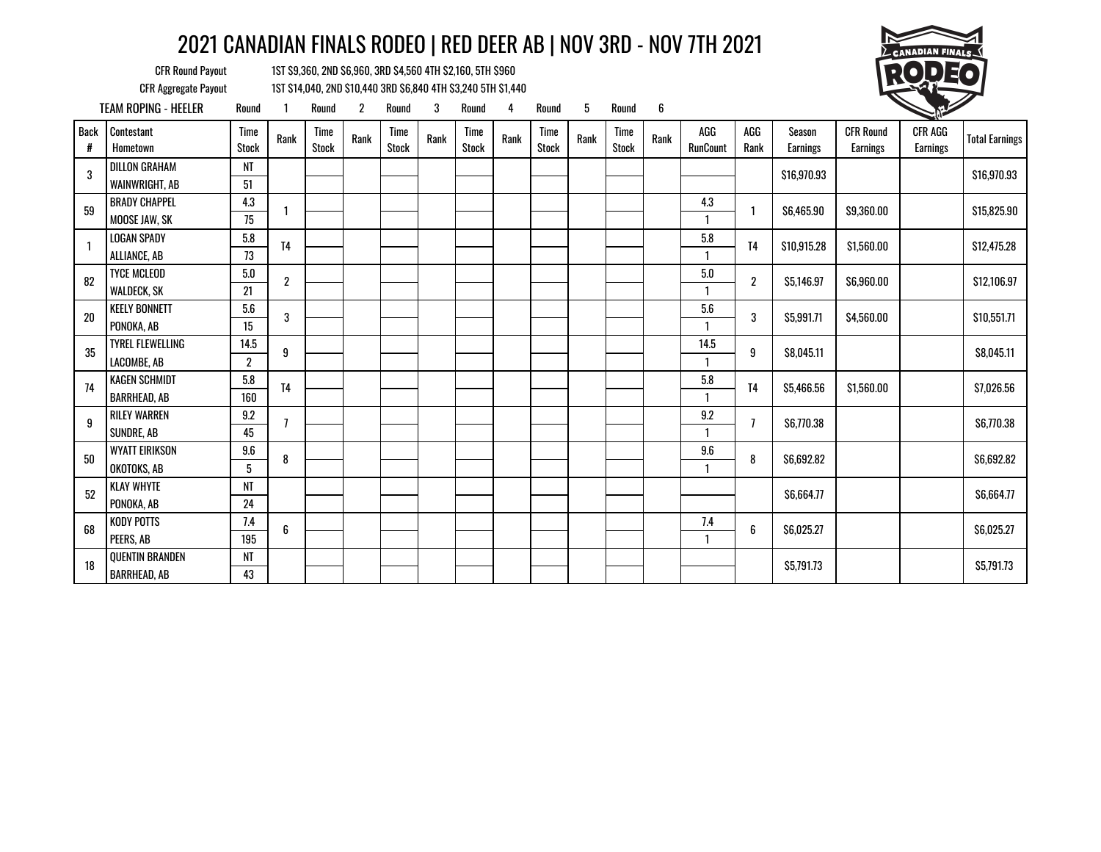

CFR Round Payout 1ST \$9,360, 2ND \$6,960, 3RD \$4,560 4TH \$2,160, 5TH \$960 CFR Aggregate Payout 1ST \$14,040, 2ND \$10,440 3RD \$6,840 4TH \$3,240 5TH \$1,440

TEAM ROPING - HEELER Round 1 Round 2 Round 3 Round 4 Round 5 Round 6 1 Back # **Contestant**  Hometown Time Time Rank Time<br>Stock Rank Stock Time Rank Time Rank Time<br>Stock Rank Stock Rank Stock Time Rank Time<br>Stock Rank Stock Rank Time Time Rank AGG<br>Stock Rank RunCount AGG Rank Season Earnings CFR Round Earnings CFR AGG Earnings Total Earnings 3 DILLON GRAHAM NT \$16,970.93 \$0.00 \$0.00 \$16,970.93 WAINWRIGHT, AB 31 59 BRADY CHAPPEL  $\begin{array}{|c|c|c|}\n\hline\n&4.3 & 1\n\end{array}$  1  $\frac{4.3}{4.3}$  1 \$6,465.90 \$9,360.00 \$0.00 \$15,825.90 MOOSE JAW, SK 75 1 1 LOGAN SPADY  $\begin{array}{|c|c|c|c|c|c|c|c|c|} \hline 5.8 & 5.8 & 5.560.00 & 5.8 & 5.2475.28 \ \hline \end{array}$ ALLIANCE, AB 73 1 82 WALDECK, SK  $\begin{array}{|c|c|c|c|}\n\hline\n 82 & \text{WALDECK, SK} \\
\hline\n\end{array}$  2  $\frac{5.0}{2}$  2 \$5,146.97 \$6,960.00 \$12,106.97 WALDECK, SK 21 1 20 KEELY BONNETT  $\begin{array}{|c|c|c|c|}\n\hline\n & 5.6 & 3\n\end{array}$  $\frac{5.6}{2}$  3 \$5,991.71 \$4,560.00 \$10,551.71 PONOKA, AB 15 1  $35$  TYREL FLEWELLING  $\begin{array}{|c|c|c|}\n\hline\n35 & \text{IACOMBE, AB}\n\end{array}$  9  $\frac{14.5}{2}$  9 \$8,045.11 \$0.045.11 \$8,045.11 LACOMBE, AB 2 1 <sup>74</sup> KAGEN SCHMIDT 5.8 T4 5.8 T4 \$5,466.56 \$1,560.00 \$0.00 \$7,026.56 BARRHEAD, AB 160 | | | | | | | | | | | | | | | 9 RILEY WARREN 9.2 <br>SUNDRE, AB 45 7  $\frac{9.2}{1}$  7 \$6,770.38 \$6,770.38 SUNDRE, AB 45 1 50 WYATT EIRIKSON  $\begin{array}{|c|c|c|}\hline 9.6 & 8 \end{array}$ 9.6 <sup>8</sup> \$6,692.82 \$0.00 \$0.00 \$6,692.82 OKOTOKS, AB 5 1 <sup>52</sup> KLAY WHYTE NT \$6,664.77 \$0.00 \$0.00 \$6,664.77 PONOKA, AB 24 68 KODY POTTS  $\begin{array}{|c|c|c|}\hline 7.4 & 6 \end{array}$  6  $\frac{7.4}{2}$  6 \$6,025.27 \$0.025.27 \$6,025.27 PEERS, AB 195 | | | | | | | | | | | | | | <sup>18</sup> QUENTIN BRANDEN NT \$5,791.73 \$0.00 \$0.00 \$5,791.73 BARRHEAD, AB 13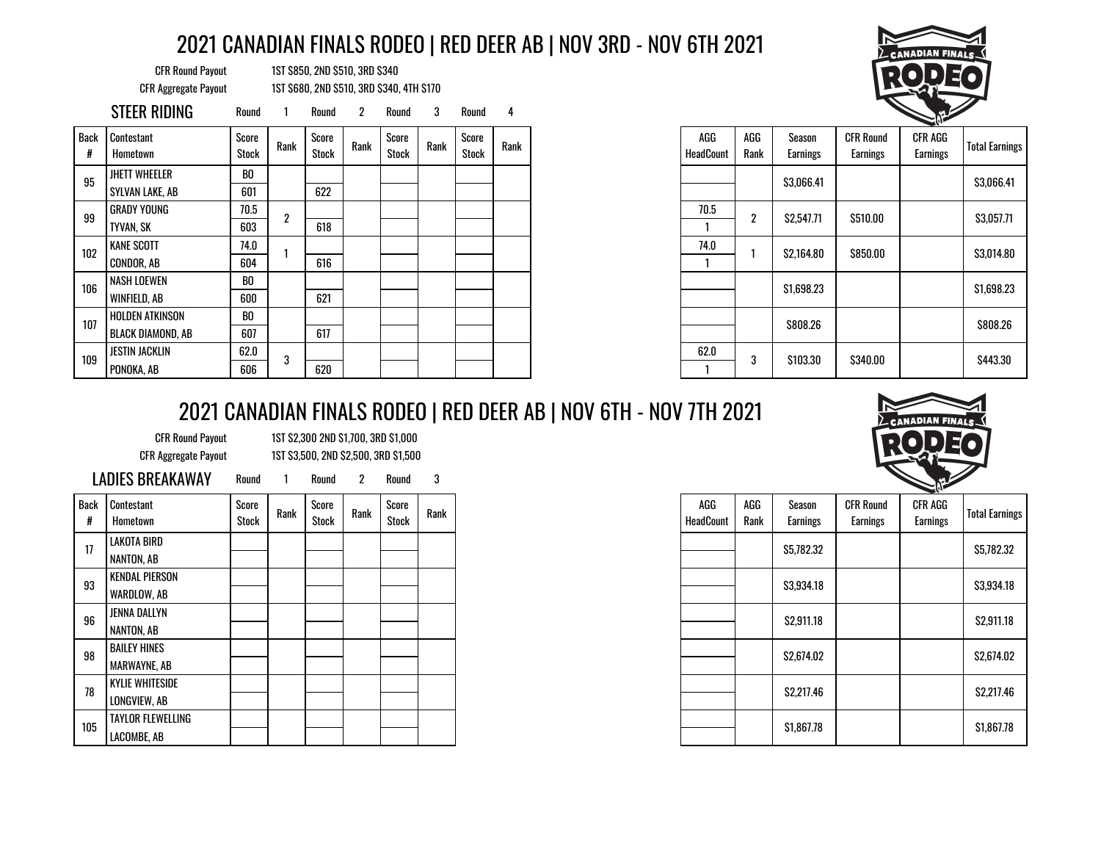CFR Round Payout 1ST \$850, 2ND \$510, 3RD \$340 CFR Aggregate Payout 1ST \$680, 2ND \$510, 3RD \$340, 4TH \$170

|                  | STEER RIDING                                       | Round                 |      | Round          |      | Round          |      | Round          | 4    |
|------------------|----------------------------------------------------|-----------------------|------|----------------|------|----------------|------|----------------|------|
| <b>Back</b><br># | Contestant<br>Hometown                             | Score<br><b>Stock</b> | Rank | Score<br>Stock | Rank | Score<br>Stock | Rank | Score<br>Stock | Rank |
| 95               | <b>JHETT WHEELER</b><br>SYLVAN LAKE, AB            | BO<br>601             |      | 622            |      |                |      |                |      |
| 99               | GRADY YOUNG<br><b>TYVAN, SK</b>                    | 70.5<br>603           | 2    | 618            |      |                |      |                |      |
| 102              | <b>KANE SCOTT</b><br>CONDOR, AB                    | 74.0<br>604           |      | 616            |      |                |      |                |      |
| 106              | <b>NASH LOEWEN</b><br>WINFIELD, AB                 | BO<br>600             |      | 621            |      |                |      |                |      |
| 107              | <b>HOLDEN ATKINSON</b><br><b>BLACK DIAMOND, AB</b> | BO<br>607             |      | 617            |      |                |      |                |      |
| 109              | <b>JESTIN JACKLIN</b><br>PONOKA, AB                | 62.0<br>606           | 3    | 620            |      |                |      |                |      |



|                         |             |                           |                                     | - 11                       |                       |
|-------------------------|-------------|---------------------------|-------------------------------------|----------------------------|-----------------------|
| AGG<br><b>HeadCount</b> | AGG<br>Rank | Season<br><b>Earnings</b> | <b>CFR Round</b><br><b>Earnings</b> | <b>CFR AGG</b><br>Earnings | <b>Total Earnings</b> |
|                         |             | \$3.066.41                |                                     |                            | \$3.066.41            |
| 70.5                    | 2           | \$2,547.71                | \$510.00                            |                            | \$3,057.71            |
|                         |             |                           |                                     |                            |                       |
| 74.0                    |             | \$2,164.80                | \$850.00                            |                            | \$3,014.80            |
|                         |             |                           |                                     |                            |                       |
|                         |             | \$1,698.23                |                                     |                            | \$1,698.23            |
|                         |             | <b>\$808.26</b>           |                                     |                            | <b>\$808.26</b>       |
| 62.0                    | 3           | \$103.30                  | \$340.00                            |                            | \$443.30              |
|                         |             |                           |                                     |                            |                       |

## 2021 CANADIAN FINALS RODEO | RED DEER AB | NOV 6TH - NOV 7TH 2021

|  | <b>CFR Round Pavout</b> |
|--|-------------------------|
|  | PER Accrocato Pavout    |

1ST \$2,300 2ND \$1,700, 3RD \$1,000 CFR Aggregate Payout 1ST \$3,500, 2ND \$2,500, 3RD \$1,500

| <b>LADIES BREAKAWAY</b> |  |
|-------------------------|--|
|-------------------------|--|

Round 1 Round 2 Round 3

| Back<br># | Contestant<br>Hometown                   | Score<br>Stock | Rank | Score<br>Stock | Rank | Score<br>Stock | Rank |
|-----------|------------------------------------------|----------------|------|----------------|------|----------------|------|
| 17        | LAKOTA BIRD<br>NANTON, AB                |                |      |                |      |                |      |
| 93        | <b>KENDAL PIERSON</b><br>WARDLOW, AB     |                |      |                |      |                |      |
| 96        | JENNA DALLYN                             |                |      |                |      |                |      |
| 98        | NANTON, AB<br><b>BAILEY HINES</b>        |                |      |                |      |                |      |
| 78        | MARWAYNE, AB<br><b>KYLIE WHITESIDE</b>   |                |      |                |      |                |      |
|           | LONGVIEW, AB<br><b>TAYLOR FLEWELLING</b> |                |      |                |      |                |      |
| 105       | LACOMBE, AB                              |                |      |                |      |                |      |



| AGG<br><b>HeadCount</b> | AGG<br>Rank | Season<br><b>Earnings</b> | <b>CFR Round</b><br><b>Earnings</b> | <b>CFR AGG</b><br><b>Earnings</b> | <b>Total Earnings</b> |  |
|-------------------------|-------------|---------------------------|-------------------------------------|-----------------------------------|-----------------------|--|
|                         |             | \$5,782.32                |                                     |                                   | \$5,782.32            |  |
|                         |             | \$3,934.18                |                                     |                                   | \$3,934.18            |  |
|                         |             | \$2,911.18                |                                     |                                   | \$2,911.18            |  |
|                         |             | \$2,674.02                |                                     |                                   | \$2,674.02            |  |
|                         |             | \$2,217.46                |                                     |                                   | \$2,217.46            |  |
|                         |             | \$1,867.78                |                                     |                                   | \$1,867.78            |  |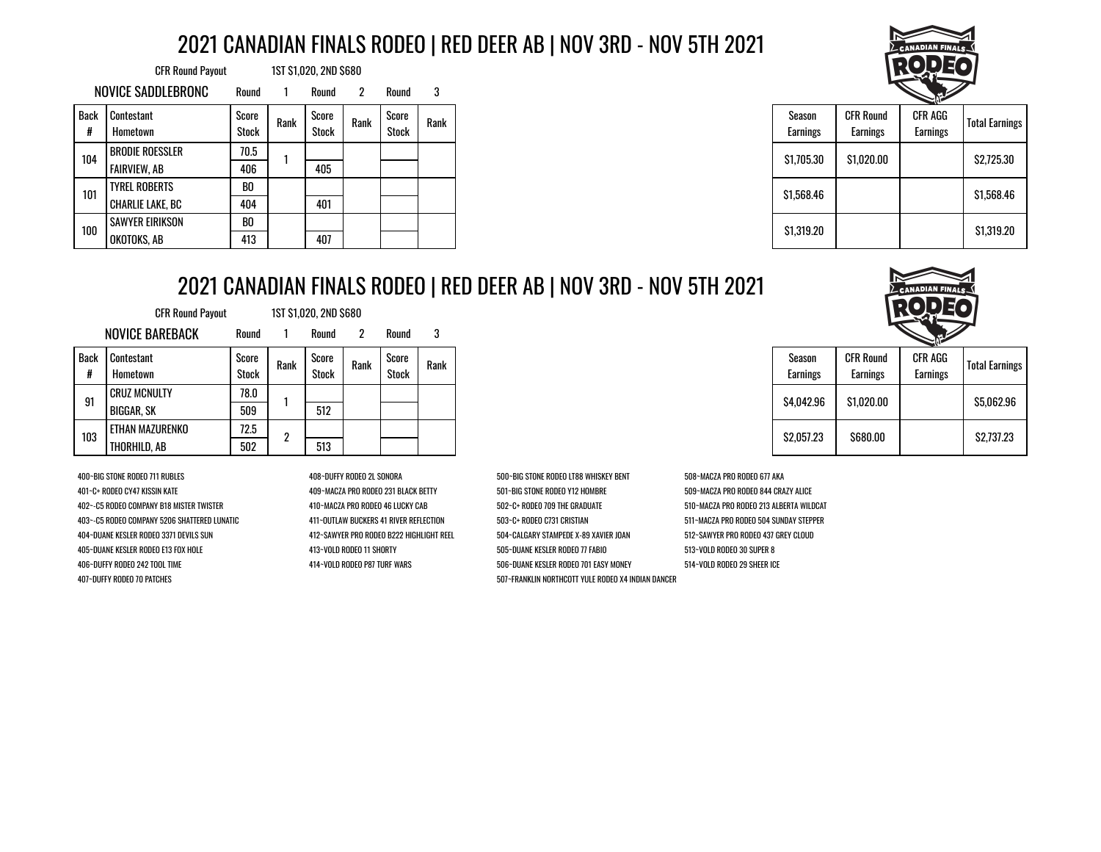| <b>CFR Round Payout</b> |                        |                       |      | 1ST \$1,020, 2ND \$680 |              |                       |      |
|-------------------------|------------------------|-----------------------|------|------------------------|--------------|-----------------------|------|
|                         | NOVICE SADDLEBRONC     | Round                 |      | Round                  | $\mathbf{2}$ | Round                 | 3    |
| <b>Back</b><br>#        | Contestant<br>Hometown | Score<br><b>Stock</b> | Rank | Score<br>Stock         | Rank         | Score<br><b>Stock</b> | Rank |
| 104                     | <b>BRODIE ROESSLER</b> | 70.5                  |      |                        |              |                       |      |
|                         | FAIRVIEW, AB           | 406                   |      | 405                    |              |                       |      |
| 101                     | <b>TYREL ROBERTS</b>   | B <sub>0</sub>        |      |                        |              |                       |      |
|                         | CHARLIE LAKE, BC       | 404                   |      | 401                    |              |                       |      |
| 100                     | <b>SAWYER EIRIKSON</b> | BO                    |      |                        |              |                       |      |
|                         | OKOTOKS, AB            | 413                   |      | 407                    |              |                       |      |



| Season<br><b>Earnings</b> | <b>CFR Round</b><br><b>Earnings</b> | CFR AGG<br><b>Earnings</b> | <b>Total Earnings</b> |
|---------------------------|-------------------------------------|----------------------------|-----------------------|
| \$1,705.30                | \$1.020.00                          |                            | \$2,725,30            |
| \$1.568.46                |                                     |                            | \$1,568.46            |
| \$1,319.20                |                                     |                            | \$1,319.20            |

# 2021 CANADIAN FINALS RODEO | RED DEER AB | NOV 3RD - NOV 5TH 2021

|                  | <b>CFR Round Payout</b> |                       | 1ST \$1,020, 2ND \$680 |                |      |                       |      |
|------------------|-------------------------|-----------------------|------------------------|----------------|------|-----------------------|------|
|                  | <b>NOVICE BAREBACK</b>  | Round                 |                        | Round          | 2    | Round                 | 3    |
| <b>Back</b><br># | Contestant<br>Hometown  | Score<br><b>Stock</b> | Rank                   | Score<br>Stock | Rank | Score<br><b>Stock</b> | Rank |
| 91               | <b>CRUZ MCNULTY</b>     | 78.0                  |                        |                |      |                       |      |
|                  | BIGGAR, SK              | 509                   |                        | 512            |      |                       |      |
| 103              | ETHAN MAZURENKO         | 72.5                  | ŋ                      |                |      |                       |      |
|                  | THORHILD, AB            | 502                   |                        | 513            |      |                       |      |

400~BIG STONE RODEO 711 RUBLES 408~DUFFY RODEO 2L SONORA 500~BIG STONE RODEO LT88 WHISKEY BENT 508~MACZA PRO RODEO 677 AKA 401~C+ RODEO CY47 KISSIN KATE 409~MACZA PRO RODEO 231 BLACK BETTY 501~BIG STONE RODEO Y12 HOMBRE 509~MACZA PRO RODEO 844 CRAZY ALICE 402~-C5 RODEO COMPANY B18 MISTER TWISTER 410~MACZA PRO RODEO 46 LUCKY CAB 502~C+ RODE0 709 THE GRADUATE 510~MACZA PRO RODEO 213 ALBERTA WILDCAT 403~-C5 RODEO COMPANY 5206 SHATTERED LUNATIC 411~OUTLAW BUCKERS 41 RIVER REFLECTION 503~C+ RODEO C731 CRISTIAN 511~MACZA PRO RODEO 504 SUNDAY STEPPER 404~DUANE KESLER RODEO 3371 DEVILS SUN 412~SAWYER PRO RODEO B222 HIGHLIGHT REEL 504~CALGARY STAMPEDE X-89 XAVIER JOAN 512~SAWYER PRO RODEO 437 GREY CLOUD 405~DUANE KESLER RODEO E13 FOX HOLE 413~VOLD RODEO 11 SHORTY 505~DUANE KESLER RODEO 77 FABIO 513~VOLD RODEO 30 SUPER 8 406~DUFFY RODEO 242 TOOL TIME 414~VOLD RODEO P87 TURF WARS 506~DUANE KESLER RODEO 701 EASY MONEY 514~VOLD RODEO 29 SHEER ICE 407~DUFFY RODEO 70 PATCHES 507~FRANKLIN NORTHCOTT YULE RODEO X4 INDIAN DANCER

CFR AGG

| Season<br>Earnings | <b>CFR Round</b><br>Earnings | CFR AGG<br>Earnings | <b>Total Earnings</b> |  |
|--------------------|------------------------------|---------------------|-----------------------|--|
| S4.042.96          | \$1,020.00                   |                     | \$5.062.96            |  |
| \$2,057.23         | \$680.00                     |                     | \$2.737.23            |  |